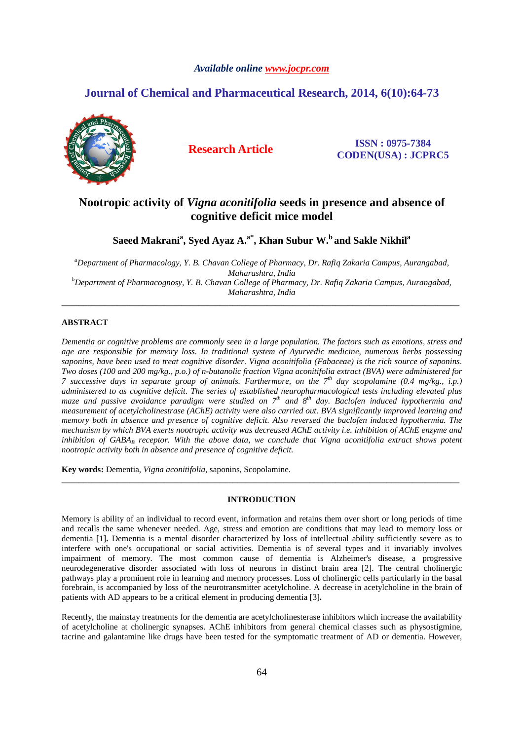## *Available online www.jocpr.com*

# **Journal of Chemical and Pharmaceutical Research, 2014, 6(10):64-73**



**Research Article ISSN : 0975-7384 CODEN(USA) : JCPRC5**

# **Nootropic activity of** *Vigna aconitifolia* **seeds in presence and absence of cognitive deficit mice model**

**Saeed Makrani<sup>a</sup> , Syed Ayaz A.a\*, Khan Subur W.<sup>b</sup>and Sakle Nikhil<sup>a</sup>**

*<sup>a</sup>Department of Pharmacology, Y. B. Chavan College of Pharmacy, Dr. Rafiq Zakaria Campus, Aurangabad, Maharashtra, India <sup>b</sup>Department of Pharmacognosy, Y. B. Chavan College of Pharmacy, Dr. Rafiq Zakaria Campus, Aurangabad, Maharashtra, India* 

\_\_\_\_\_\_\_\_\_\_\_\_\_\_\_\_\_\_\_\_\_\_\_\_\_\_\_\_\_\_\_\_\_\_\_\_\_\_\_\_\_\_\_\_\_\_\_\_\_\_\_\_\_\_\_\_\_\_\_\_\_\_\_\_\_\_\_\_\_\_\_\_\_\_\_\_\_\_\_\_\_\_\_\_\_\_\_\_\_\_\_\_\_

## **ABSTRACT**

*Dementia or cognitive problems are commonly seen in a large population. The factors such as emotions, stress and age are responsible for memory loss. In traditional system of Ayurvedic medicine, numerous herbs possessing saponins, have been used to treat cognitive disorder. Vigna aconitifolia (Fabaceae) is the rich source of saponins. Two doses (100 and 200 mg/kg., p.o.) of n-butanolic fraction Vigna aconitifolia extract (BVA) were administered for 7 successive days in separate group of animals. Furthermore, on the 7th day scopolamine (0.4 mg/kg., i.p.) administered to as cognitive deficit. The series of established neuropharmacological tests including elevated plus maze and passive avoidance paradigm were studied on 7th and 8th day. Baclofen induced hypothermia and measurement of acetylcholinestrase (AChE) activity were also carried out. BVA significantly improved learning and memory both in absence and presence of cognitive deficit. Also reversed the baclofen induced hypothermia. The mechanism by which BVA exerts nootropic activity was decreased AChE activity i.e. inhibition of AChE enzyme and inhibition of GABA<sub>B</sub>* receptor. With the above data, we conclude that Vigna aconitifolia extract shows potent *nootropic activity both in absence and presence of cognitive deficit.* 

**Key words:** Dementia, *Vigna aconitifolia,* saponins, Scopolamine.

## **INTRODUCTION**

\_\_\_\_\_\_\_\_\_\_\_\_\_\_\_\_\_\_\_\_\_\_\_\_\_\_\_\_\_\_\_\_\_\_\_\_\_\_\_\_\_\_\_\_\_\_\_\_\_\_\_\_\_\_\_\_\_\_\_\_\_\_\_\_\_\_\_\_\_\_\_\_\_\_\_\_\_\_\_\_\_\_\_\_\_\_\_\_\_\_\_\_\_

Memory is ability of an individual to record event, information and retains them over short or long periods of time and recalls the same whenever needed. Age, stress and emotion are conditions that may lead to memory loss or dementia [1]**.** Dementia is a mental disorder characterized by loss of intellectual ability sufficiently severe as to interfere with one's occupational or social activities. Dementia is of several types and it invariably involves impairment of memory. The most common cause of dementia is Alzheimer's disease, a progressive neurodegenerative disorder associated with loss of neurons in distinct brain area [2]. The central cholinergic pathways play a prominent role in learning and memory processes. Loss of cholinergic cells particularly in the basal forebrain, is accompanied by loss of the neurotransmitter acetylcholine. A decrease in acetylcholine in the brain of patients with AD appears to be a critical element in producing dementia [3]**.** 

Recently, the mainstay treatments for the dementia are acetylcholinesterase inhibitors which increase the availability of acetylcholine at cholinergic synapses. AChE inhibitors from general chemical classes such as physostigmine, tacrine and galantamine like drugs have been tested for the symptomatic treatment of AD or dementia. However,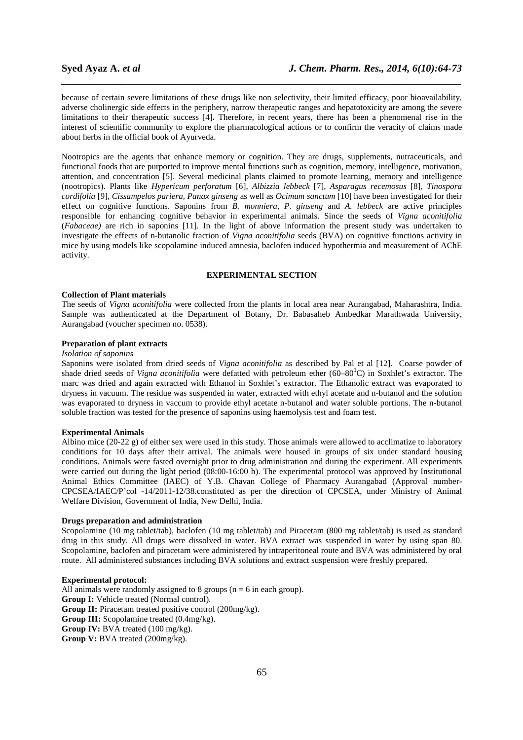because of certain severe limitations of these drugs like non selectivity, their limited efficacy, poor bioavailability, adverse cholinergic side effects in the periphery, narrow therapeutic ranges and hepatotoxicity are among the severe limitations to their therapeutic success [4]**.** Therefore, in recent years, there has been a phenomenal rise in the interest of scientific community to explore the pharmacological actions or to confirm the veracity of claims made about herbs in the official book of Ayurveda.

*\_\_\_\_\_\_\_\_\_\_\_\_\_\_\_\_\_\_\_\_\_\_\_\_\_\_\_\_\_\_\_\_\_\_\_\_\_\_\_\_\_\_\_\_\_\_\_\_\_\_\_\_\_\_\_\_\_\_\_\_\_\_\_\_\_\_\_\_\_\_\_\_\_\_\_\_\_\_*

Nootropics are the agents that enhance memory or cognition. They are drugs, supplements, nutraceuticals, and functional foods that are purported to improve mental functions such as cognition, memory, intelligence, motivation, attention, and concentration [5]. Several medicinal plants claimed to promote learning, memory and intelligence (nootropics). Plants like *Hypericum perforatum* [6], *Albizzia lebbeck* [7]*, Asparagus recemosus* [8]*, Tinospora cordifolia* [9], *Cissampelos pariera, Panax ginseng* as well as *Ocimum sanctum* [10] have been investigated for their effect on cognitive functions. Saponins from *B. monniera, P. ginseng* and *A. lebbeck* are active principles responsible for enhancing cognitive behavior in experimental animals. Since the seeds of *Vigna aconitifolia* (*Fabaceae)* are rich in saponins [11]. In the light of above information the present study was undertaken to investigate the effects of n-butanolic fraction of *Vigna aconitifolia* seeds (BVA) on cognitive functions activity in mice by using models like scopolamine induced amnesia, baclofen induced hypothermia and measurement of AChE activity.

## **EXPERIMENTAL SECTION**

#### **Collection of Plant materials**

The seeds of *Vigna aconitifolia* were collected from the plants in local area near Aurangabad, Maharashtra, India. Sample was authenticated at the Department of Botany, Dr. Babasaheb Ambedkar Marathwada University, Aurangabad (voucher specimen no. 0538).

## **Preparation of plant extracts**

#### *Isolation of saponins*

Saponins were isolated from dried seeds of *Vigna aconitifolia* as described by Pal et al [12]. Coarse powder of shade dried seeds of *Vigna aconitifolia* were defatted with petroleum ether (60–80<sup>0</sup>C) in Soxhlet's extractor. The marc was dried and again extracted with Ethanol in Soxhlet's extractor. The Ethanolic extract was evaporated to dryness in vacuum. The residue was suspended in water, extracted with ethyl acetate and n-butanol and the solution was evaporated to dryness in vaccum to provide ethyl acetate n-butanol and water soluble portions. The n-butanol soluble fraction was tested for the presence of saponins using haemolysis test and foam test.

#### **Experimental Animals**

Albino mice (20-22 g) of either sex were used in this study. Those animals were allowed to acclimatize to laboratory conditions for 10 days after their arrival. The animals were housed in groups of six under standard housing conditions. Animals were fasted overnight prior to drug administration and during the experiment. All experiments were carried out during the light period (08:00-16:00 h). The experimental protocol was approved by Institutional Animal Ethics Committee (IAEC) of Y.B. Chavan College of Pharmacy Aurangabad (Approval number-CPCSEA/IAEC/P'col -14/2011-12/38.constituted as per the direction of CPCSEA, under Ministry of Animal Welfare Division, Government of India, New Delhi, India.

## **Drugs preparation and administration**

Scopolamine (10 mg tablet/tab), baclofen (10 mg tablet/tab) and Piracetam (800 mg tablet/tab) is used as standard drug in this study. All drugs were dissolved in water. BVA extract was suspended in water by using span 80. Scopolamine, baclofen and piracetam were administered by intraperitoneal route and BVA was administered by oral route. All administered substances including BVA solutions and extract suspension were freshly prepared.

#### **Experimental protocol:**

All animals were randomly assigned to 8 groups ( $n = 6$  in each group). **Group I:** Vehicle treated (Normal control). **Group II:** Piracetam treated positive control (200mg/kg). **Group III:** Scopolamine treated (0.4mg/kg). **Group IV:** BVA treated (100 mg/kg). **Group V:** BVA treated (200mg/kg).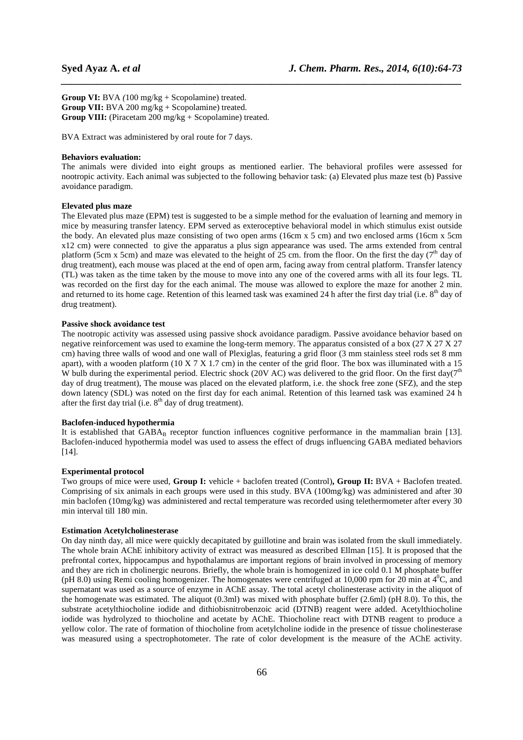**Group VI:** BVA *(*100 mg/kg + Scopolamine) treated. **Group VII:** BVA 200 mg/kg + Scopolamine) treated. **Group VIII:** (Piracetam 200 mg/kg + Scopolamine) treated.

BVA Extract was administered by oral route for 7 days.

### **Behaviors evaluation:**

The animals were divided into eight groups as mentioned earlier. The behavioral profiles were assessed for nootropic activity. Each animal was subjected to the following behavior task: (a) Elevated plus maze test (b) Passive avoidance paradigm.

*\_\_\_\_\_\_\_\_\_\_\_\_\_\_\_\_\_\_\_\_\_\_\_\_\_\_\_\_\_\_\_\_\_\_\_\_\_\_\_\_\_\_\_\_\_\_\_\_\_\_\_\_\_\_\_\_\_\_\_\_\_\_\_\_\_\_\_\_\_\_\_\_\_\_\_\_\_\_*

## **Elevated plus maze**

The Elevated plus maze (EPM) test is suggested to be a simple method for the evaluation of learning and memory in mice by measuring transfer latency. EPM served as exteroceptive behavioral model in which stimulus exist outside the body. An elevated plus maze consisting of two open arms (16cm x 5 cm) and two enclosed arms (16cm x 5cm x12 cm) were connected to give the apparatus a plus sign appearance was used. The arms extended from central platform (5cm x 5cm) and maze was elevated to the height of 25 cm. from the floor. On the first the day ( $7<sup>th</sup>$  day of drug treatment), each mouse was placed at the end of open arm, facing away from central platform. Transfer latency (TL) was taken as the time taken by the mouse to move into any one of the covered arms with all its four legs. TL was recorded on the first day for the each animal. The mouse was allowed to explore the maze for another 2 min. and returned to its home cage. Retention of this learned task was examined 24 h after the first day trial (i.e.  $8<sup>th</sup>$  day of drug treatment).

## **Passive shock avoidance test**

The nootropic activity was assessed using passive shock avoidance paradigm. Passive avoidance behavior based on negative reinforcement was used to examine the long-term memory. The apparatus consisted of a box (27 X 27 X 27 cm) having three walls of wood and one wall of Plexiglas, featuring a grid floor (3 mm stainless steel rods set 8 mm apart), with a wooden platform (10 X 7 X 1.7 cm) in the center of the grid floor. The box was illuminated with a 15 W bulb during the experimental period. Electric shock (20V AC) was delivered to the grid floor. On the first day( $7<sup>th</sup>$ day of drug treatment), The mouse was placed on the elevated platform, i.e. the shock free zone (SFZ), and the step down latency (SDL) was noted on the first day for each animal. Retention of this learned task was examined 24 h after the first day trial (i.e.  $8<sup>th</sup>$  day of drug treatment).

## **Baclofen-induced hypothermia**

It is established that  $GABA_B$  receptor function influences cognitive performance in the mammalian brain [13]. Baclofen-induced hypothermia model was used to assess the effect of drugs influencing GABA mediated behaviors [14].

### **Experimental protocol**

Two groups of mice were used, **Group I:** vehicle + baclofen treated (Control)**, Group II:** BVA + Baclofen treated. Comprising of six animals in each groups were used in this study. BVA (100mg/kg) was administered and after 30 min baclofen (10mg/kg) was administered and rectal temperature was recorded using telethermometer after every 30 min interval till 180 min.

#### **Estimation Acetylcholinesterase**

On day ninth day, all mice were quickly decapitated by guillotine and brain was isolated from the skull immediately. The whole brain AChE inhibitory activity of extract was measured as described Ellman [15]. It is proposed that the prefrontal cortex, hippocampus and hypothalamus are important regions of brain involved in processing of memory and they are rich in cholinergic neurons. Briefly, the whole brain is homogenized in ice cold 0.1 M phosphate buffer (pH 8.0) using Remi cooling homogenizer. The homogenates were centrifuged at 10,000 rpm for 20 min at  $4^{\circ}$ C, and supernatant was used as a source of enzyme in AChE assay. The total acetyl cholinesterase activity in the aliquot of the homogenate was estimated. The aliquot  $(0.3ml)$  was mixed with phosphate buffer  $(2.6ml)$  (pH 8.0). To this, the substrate acetylthiocholine iodide and dithiobisnitrobenzoic acid (DTNB) reagent were added. Acetylthiocholine iodide was hydrolyzed to thiocholine and acetate by AChE. Thiocholine react with DTNB reagent to produce a yellow color. The rate of formation of thiocholine from acetylcholine iodide in the presence of tissue cholinesterase was measured using a spectrophotometer. The rate of color development is the measure of the AChE activity.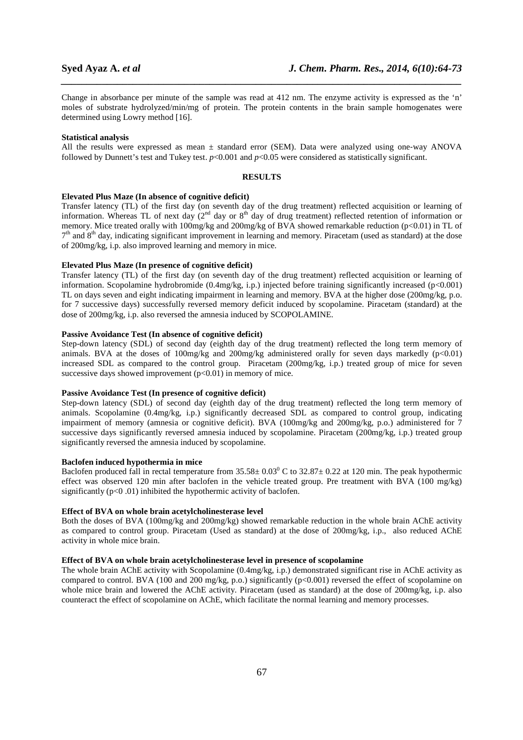Change in absorbance per minute of the sample was read at 412 nm. The enzyme activity is expressed as the 'n' moles of substrate hydrolyzed/min/mg of protein. The protein contents in the brain sample homogenates were determined using Lowry method [16].

*\_\_\_\_\_\_\_\_\_\_\_\_\_\_\_\_\_\_\_\_\_\_\_\_\_\_\_\_\_\_\_\_\_\_\_\_\_\_\_\_\_\_\_\_\_\_\_\_\_\_\_\_\_\_\_\_\_\_\_\_\_\_\_\_\_\_\_\_\_\_\_\_\_\_\_\_\_\_*

#### **Statistical analysis**

All the results were expressed as mean  $\pm$  standard error (SEM). Data were analyzed using one-way ANOVA followed by Dunnett's test and Tukey test. *p*<0.001 and *p*<0.05 were considered as statistically significant.

## **RESULTS**

#### **Elevated Plus Maze (In absence of cognitive deficit)**

Transfer latency (TL) of the first day (on seventh day of the drug treatment) reflected acquisition or learning of information. Whereas TL of next day  $(2^{nd}$  day or  $8^{th}$  day of drug treatment) reflected retention of information or memory. Mice treated orally with 100mg/kg and 200mg/kg of BVA showed remarkable reduction (p<0.01) in TL of 7<sup>th</sup> and 8<sup>th</sup> day, indicating significant improvement in learning and memory. Piracetam (used as standard) at the dose of 200mg/kg, i.p. also improved learning and memory in mice.

## **Elevated Plus Maze (In presence of cognitive deficit)**

Transfer latency (TL) of the first day (on seventh day of the drug treatment) reflected acquisition or learning of information. Scopolamine hydrobromide (0.4mg/kg, i.p.) injected before training significantly increased (p<0.001) TL on days seven and eight indicating impairment in learning and memory. BVA at the higher dose (200mg/kg, p.o. for 7 successive days) successfully reversed memory deficit induced by scopolamine. Piracetam (standard) at the dose of 200mg/kg, i.p. also reversed the amnesia induced by SCOPOLAMINE.

## **Passive Avoidance Test (In absence of cognitive deficit)**

Step-down latency (SDL) of second day (eighth day of the drug treatment) reflected the long term memory of animals. BVA at the doses of 100mg/kg and 200mg/kg administered orally for seven days markedly  $(p<0.01)$ increased SDL as compared to the control group. Piracetam (200mg/kg, i.p.) treated group of mice for seven successive days showed improvement  $(p<0.01)$  in memory of mice.

# **Passive Avoidance Test (In presence of cognitive deficit)**

Step-down latency (SDL) of second day (eighth day of the drug treatment) reflected the long term memory of animals. Scopolamine (0.4mg/kg, i.p.) significantly decreased SDL as compared to control group, indicating impairment of memory (amnesia or cognitive deficit). BVA (100mg/kg and 200mg/kg, p.o.) administered for 7 successive days significantly reversed amnesia induced by scopolamine. Piracetam (200mg/kg, i.p.) treated group significantly reversed the amnesia induced by scopolamine.

## **Baclofen induced hypothermia in mice**

Baclofen produced fall in rectal temperature from  $35.58 \pm 0.03^{\circ}$  C to  $32.87 \pm 0.22$  at 120 min. The peak hypothermic effect was observed 120 min after baclofen in the vehicle treated group. Pre treatment with BVA (100 mg/kg) significantly  $(p<0.01)$  inhibited the hypothermic activity of baclofen.

### **Effect of BVA on whole brain acetylcholinesterase level**

Both the doses of BVA (100mg/kg and 200mg/kg) showed remarkable reduction in the whole brain AChE activity as compared to control group. Piracetam (Used as standard) at the dose of 200mg/kg, i.p., also reduced AChE activity in whole mice brain.

## **Effect of BVA on whole brain acetylcholinesterase level in presence of scopolamine**

The whole brain AChE activity with Scopolamine (0.4mg/kg, i.p.) demonstrated significant rise in AChE activity as compared to control. BVA (100 and 200 mg/kg, p.o.) significantly ( $p<0.001$ ) reversed the effect of scopolamine on whole mice brain and lowered the AChE activity. Piracetam (used as standard) at the dose of 200mg/kg, i.p. also counteract the effect of scopolamine on AChE, which facilitate the normal learning and memory processes.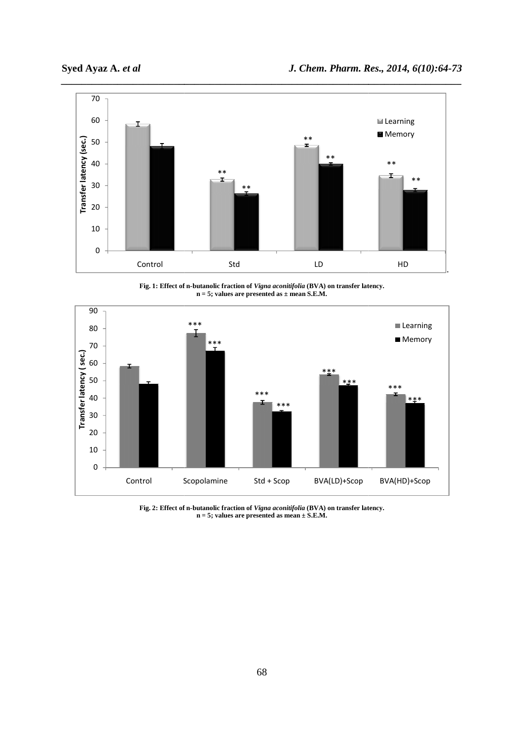

**Fig. 1: Effect of n n-butanolic fraction of** *Vigna aconitifolia* **(BVA) on transfer latency latency. n = 5; values are presented as ± mean S.E.M.** 



**Fig. 2: Effect of n-butanolic fraction of** *Vigna aconitifolia* **(BVA) on transfer latency. n = 5; values are presented as mean ± S.E.M.**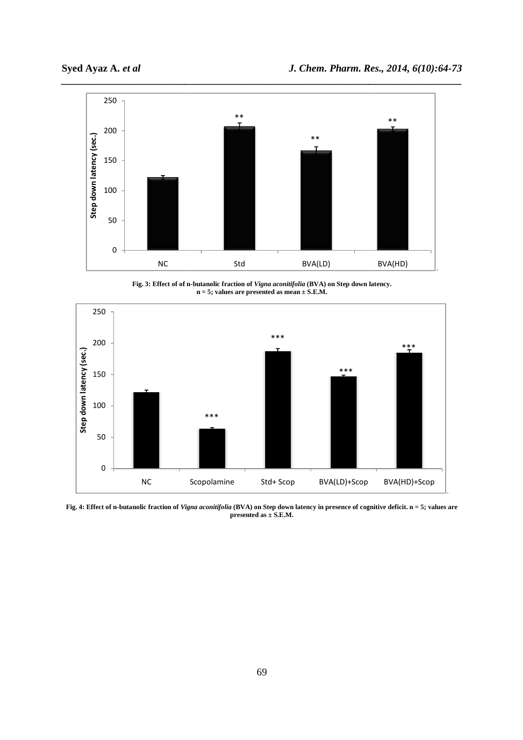

**Fig. 3: Effect of of n n-butanolic fraction of** *Vigna aconitifolia* **(BVA) on Step down latency n = 5; values are presented as mean ± S.E.M. latency.** 



**Fig. 4: Effect of n-butanolic fraction of** *Vigna aconitifolia* **(BVA) on Step down latency in presence of cognitive deficit deficit. n = 5; values are presented as ± S.E.M.**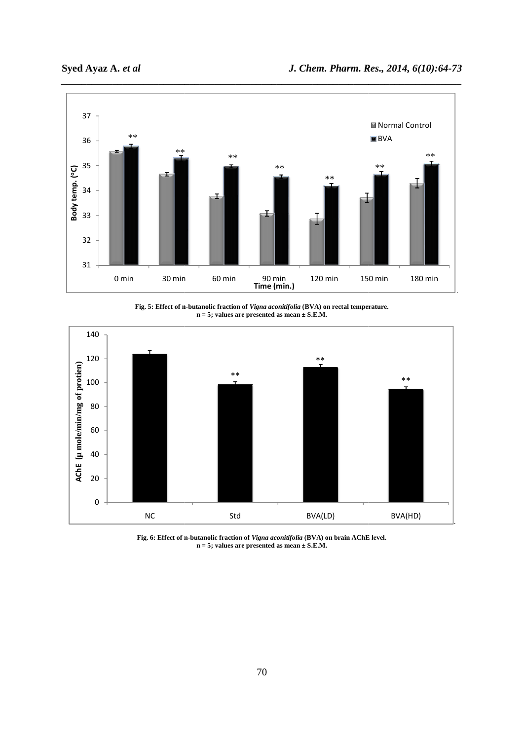

**Fig. 5: Effect of n n-butanolic fraction of** *Vigna aconitifolia* **(BVA) on rectal temperature n = 5; values are presented as mean ± S.E.M. temperature.** 



Fig. 6: Effect of n-butanolic fraction of *Vigna aconitifolia* (BVA) on brain AChE level. **n = 5; values are presented as mean ± S.E.M.**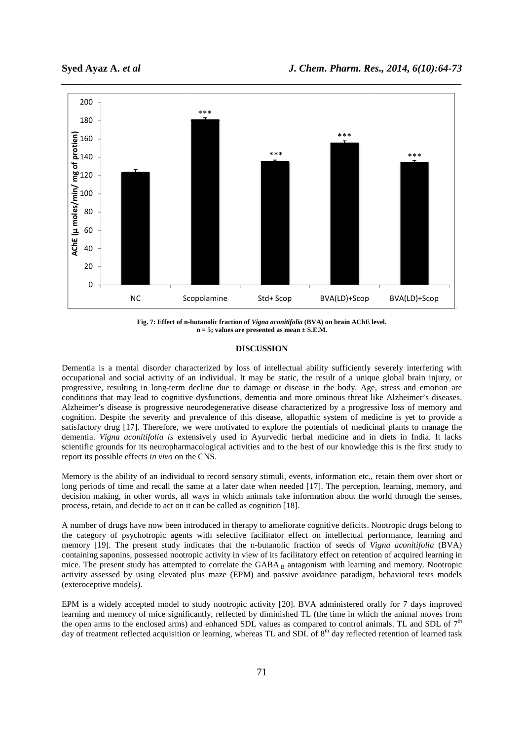

Fig. 7: Effect of n-butanolic fraction of *Vigna aconitifolia* (BVA) on brain AChE level. **n = 5; values are presented as mean ± S.E.M.** 

### **DISCUSSION**

Dementia is a mental disorder characterized by loss of intellectual ability sufficiently sufficiently severely interfering with occupational and social activity of an individual. It may be static, the result of a unique global brain injury, or progressive, resulting in long-term decline due to damage or disease in the body. Age, stress and emotion are conditions that may lead to cognitive dysfunctions, dementia and more ominous threat like Alzheimer's diseases. Alzheimer's disease is progressive neurodegenerative disease characterized by a progressive loss of memory and cognition. Despite the severity and prevalence of this disease, allopathic system of medicine is yet to provide a satisfactory drug [17]. Therefore, we were motivated to explore the potentials of medicinal plants to manage the dementia. *Vigna aconitifolia is* extensively used in Ayurvedic herbal medicine and in d scientific grounds for its neuropharmacological activities and to the best of our knowledge this is the first study to report its possible effects *in vivo* on the CNS. occupational and social activity of an individual. It may be static, the result of a unique global brain injury, or<br>progressive, resulting in long-term decline due to damage or disease in the body. Age, stress and emotion

Memory is the ability of an individual to record sensory stimuli, events, information etc., retain them over short or long periods of time and recall the same at a later date when needed [17]. The perception, learning, memory, and decision making, in other words, all ways in which animals take information about the world through the senses, process, retain, and decide to act on it can be called as cognition [18]. uli, events, information etc., retain them over short or<br>a needed [17]. The perception, learning, memory, and<br>take information about the world through the senses,

A number of drugs have now been introduced in therapy to ameliorate cognitive deficits. Nootropic drugs belong to A number of drugs have now been introduced in therapy to ameliorate cognitive deficits. Nootropic drugs belong to<br>the category of psychotropic agents with selective facilitator effect on intellectual performance, learning A number of drugs have now been introduced in therapy to ameliorate cognitive deficits. Nootropic drugs belong to<br>the category of psychotropic agents with selective facilitator effect on intellectual performance, learning containing saponins, possessed nootropic activity in view of its facilitatory effect on retention of acquired learning in containing saponins, possessed nootropic activity in view of its facilitatory effect on retention of acquired learning in mice. The present study has attempted to correlate the GABA B antagonism with learning and memory. N activity assessed by using elevated plus maze (EPM) and passive avoidance paradigm, behavioral tests models (exteroceptive models). activity assessed by using elevated plus maze (EPM) and passive avoidance paradigm, behavioral tests models<br>(exteroceptive models).<br>EPM is a widely accepted model to study nootropic activity [20]. BVA administered orally f

learning and memory of mice significantly, reflected by diminished TL (the time in which the animal moves from the open arms to the enclosed arms) and enhanced SDL values as compared to control animals. TL and SDL of  $7<sup>th</sup>$ day of treatment reflected acquisition or learning, whereas TL and SDL of  $8<sup>th</sup>$  day reflected retention of learned task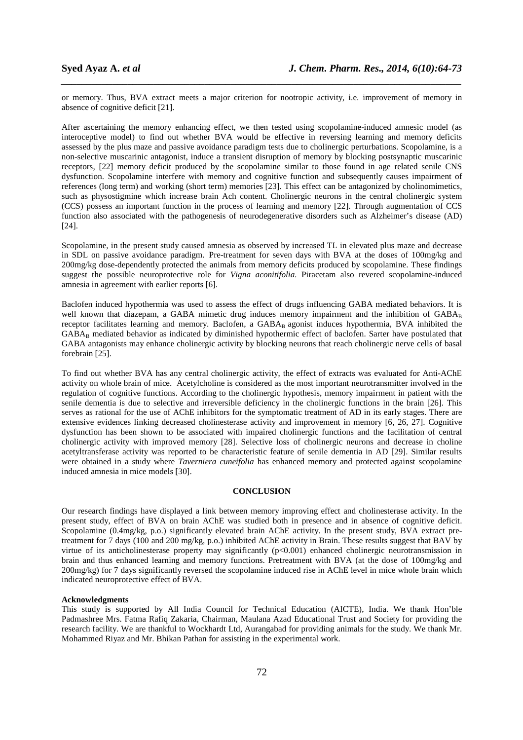or memory. Thus, BVA extract meets a major criterion for nootropic activity, i.e. improvement of memory in absence of cognitive deficit [21].

*\_\_\_\_\_\_\_\_\_\_\_\_\_\_\_\_\_\_\_\_\_\_\_\_\_\_\_\_\_\_\_\_\_\_\_\_\_\_\_\_\_\_\_\_\_\_\_\_\_\_\_\_\_\_\_\_\_\_\_\_\_\_\_\_\_\_\_\_\_\_\_\_\_\_\_\_\_\_*

After ascertaining the memory enhancing effect, we then tested using scopolamine-induced amnesic model (as interoceptive model) to find out whether BVA would be effective in reversing learning and memory deficits assessed by the plus maze and passive avoidance paradigm tests due to cholinergic perturbations. Scopolamine, is a non-selective muscarinic antagonist, induce a transient disruption of memory by blocking postsynaptic muscarinic receptors, [22] memory deficit produced by the scopolamine similar to those found in age related senile CNS dysfunction. Scopolamine interfere with memory and cognitive function and subsequently causes impairment of references (long term) and working (short term) memories [23]. This effect can be antagonized by cholinomimetics, such as physostigmine which increase brain Ach content. Cholinergic neurons in the central cholinergic system (CCS) possess an important function in the process of learning and memory [22]. Through augmentation of CCS function also associated with the pathogenesis of neurodegenerative disorders such as Alzheimer's disease (AD) [24].

Scopolamine, in the present study caused amnesia as observed by increased TL in elevated plus maze and decrease in SDL on passive avoidance paradigm. Pre-treatment for seven days with BVA at the doses of 100mg/kg and 200mg/kg dose-dependently protected the animals from memory deficits produced by scopolamine. These findings suggest the possible neuroprotective role for *Vigna aconitifolia.* Piracetam also revered scopolamine-induced amnesia in agreement with earlier reports [6].

Baclofen induced hypothermia was used to assess the effect of drugs influencing GABA mediated behaviors. It is well known that diazepam, a GABA mimetic drug induces memory impairment and the inhibition of  $GABA_B$ receptor facilitates learning and memory. Baclofen, a GABA<sub>B</sub> agonist induces hypothermia, BVA inhibited the GABA<sub>B</sub> mediated behavior as indicated by diminished hypothermic effect of baclofen. Sarter have postulated that GABA antagonists may enhance cholinergic activity by blocking neurons that reach cholinergic nerve cells of basal forebrain [25].

To find out whether BVA has any central cholinergic activity, the effect of extracts was evaluated for Anti-AChE activity on whole brain of mice. Acetylcholine is considered as the most important neurotransmitter involved in the regulation of cognitive functions. According to the cholinergic hypothesis, memory impairment in patient with the senile dementia is due to selective and irreversible deficiency in the cholinergic functions in the brain [26]. This serves as rational for the use of AChE inhibitors for the symptomatic treatment of AD in its early stages. There are extensive evidences linking decreased cholinesterase activity and improvement in memory [6, 26, 27]. Cognitive dysfunction has been shown to be associated with impaired cholinergic functions and the facilitation of central cholinergic activity with improved memory [28]. Selective loss of cholinergic neurons and decrease in choline acetyltransferase activity was reported to be characteristic feature of senile dementia in AD [29]. Similar results were obtained in a study where *Taverniera cuneifolia* has enhanced memory and protected against scopolamine induced amnesia in mice models [30].

## **CONCLUSION**

Our research findings have displayed a link between memory improving effect and cholinesterase activity. In the present study, effect of BVA on brain AChE was studied both in presence and in absence of cognitive deficit. Scopolamine (0.4mg/kg, p.o.) significantly elevated brain AChE activity. In the present study, BVA extract pretreatment for 7 days (100 and 200 mg/kg, p.o.) inhibited AChE activity in Brain. These results suggest that BAV by virtue of its anticholinesterase property may significantly (p<0.001) enhanced cholinergic neurotransmission in brain and thus enhanced learning and memory functions. Pretreatment with BVA (at the dose of 100mg/kg and 200mg/kg) for 7 days significantly reversed the scopolamine induced rise in AChE level in mice whole brain which indicated neuroprotective effect of BVA.

## **Acknowledgments**

This study is supported by All India Council for Technical Education (AICTE), India. We thank Hon'ble Padmashree Mrs. Fatma Rafiq Zakaria, Chairman, Maulana Azad Educational Trust and Society for providing the research facility. We are thankful to Wockhardt Ltd, Aurangabad for providing animals for the study. We thank Mr. Mohammed Riyaz and Mr. Bhikan Pathan for assisting in the experimental work.